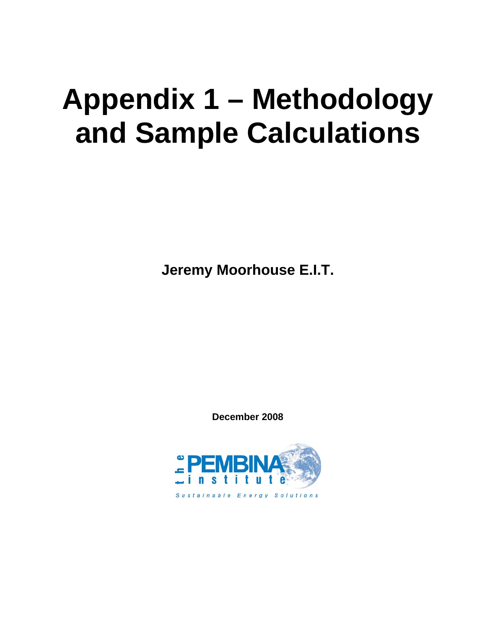# **Appendix 1 – Methodology and Sample Calculations**

**Jeremy Moorhouse E.I.T.** 

**December 2008** 

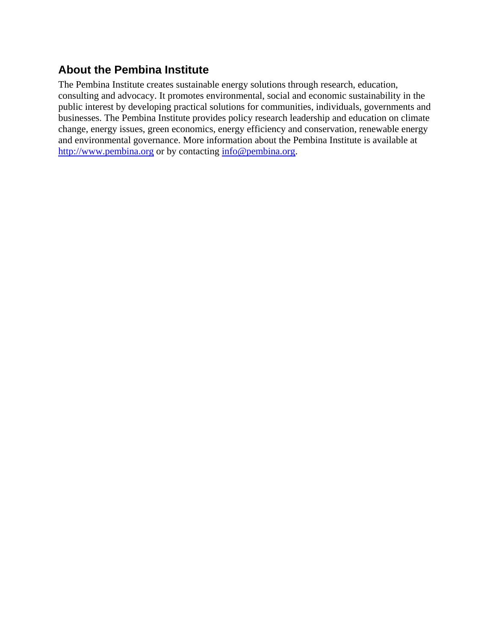## **About the Pembina Institute**

The Pembina Institute creates sustainable energy solutions through research, education, consulting and advocacy. It promotes environmental, social and economic sustainability in the public interest by developing practical solutions for communities, individuals, governments and businesses. The Pembina Institute provides policy research leadership and education on climate change, energy issues, green economics, energy efficiency and conservation, renewable energy and environmental governance. More information about the Pembina Institute is available at http://www.pembina.org or by contacting info@pembina.org.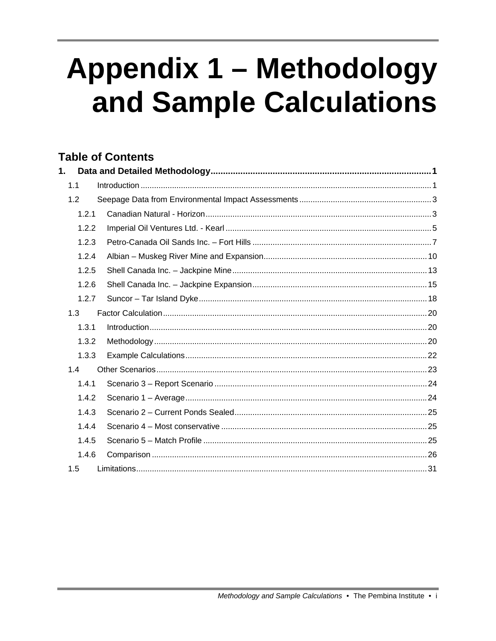# **Appendix 1 - Methodology** and Sample Calculations

## **Table of Contents**

| 1.  |       |  |
|-----|-------|--|
| 1.1 |       |  |
| 1.2 |       |  |
|     | 1.2.1 |  |
|     | 1.2.2 |  |
|     | 1.2.3 |  |
|     | 1.2.4 |  |
|     | 1.2.5 |  |
|     | 1.2.6 |  |
|     | 1.2.7 |  |
| 1.3 |       |  |
|     | 1.3.1 |  |
|     | 1.3.2 |  |
|     | 1.3.3 |  |
| 1.4 |       |  |
|     | 1.4.1 |  |
|     | 1.4.2 |  |
|     | 1.4.3 |  |
|     | 1.4.4 |  |
|     | 1.4.5 |  |
|     | 1.4.6 |  |
| 1.5 |       |  |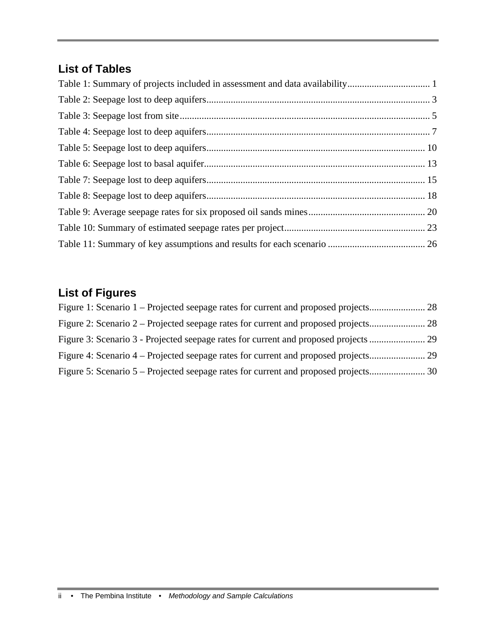## **List of Tables**

## **List of Figures**

| Figure 3: Scenario 3 - Projected seepage rates for current and proposed projects |  |
|----------------------------------------------------------------------------------|--|
|                                                                                  |  |
|                                                                                  |  |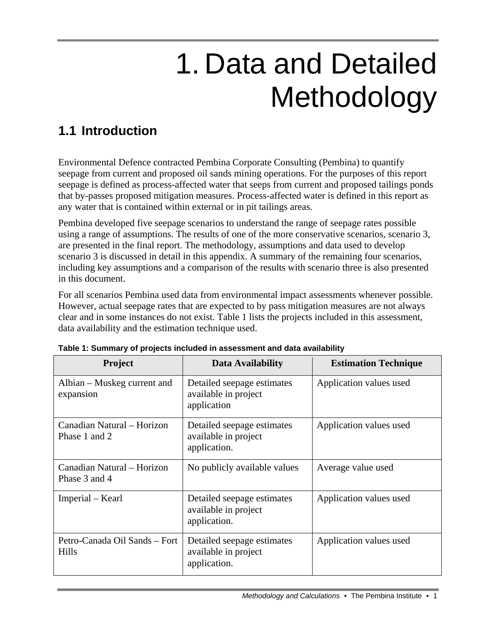# 1. Data and Detailed Methodology

# **1.1 Introduction**

Environmental Defence contracted Pembina Corporate Consulting (Pembina) to quantify seepage from current and proposed oil sands mining operations. For the purposes of this report seepage is defined as process-affected water that seeps from current and proposed tailings ponds that by-passes proposed mitigation measures. Process-affected water is defined in this report as any water that is contained within external or in pit tailings areas.

Pembina developed five seepage scenarios to understand the range of seepage rates possible using a range of assumptions. The results of one of the more conservative scenarios, scenario 3, are presented in the final report. The methodology, assumptions and data used to develop scenario 3 is discussed in detail in this appendix. A summary of the remaining four scenarios, including key assumptions and a comparison of the results with scenario three is also presented in this document.

For all scenarios Pembina used data from environmental impact assessments whenever possible. However, actual seepage rates that are expected to by pass mitigation measures are not always clear and in some instances do not exist. Table 1 lists the projects included in this assessment, data availability and the estimation technique used.

| Project                                     | Data Availability                                                  | <b>Estimation Technique</b> |
|---------------------------------------------|--------------------------------------------------------------------|-----------------------------|
| Albian – Muskeg current and<br>expansion    | Detailed seepage estimates<br>available in project<br>application  | Application values used     |
| Canadian Natural - Horizon<br>Phase 1 and 2 | Detailed seepage estimates<br>available in project<br>application. | Application values used     |
| Canadian Natural - Horizon<br>Phase 3 and 4 | No publicly available values                                       | Average value used          |
| Imperial – Kearl                            | Detailed seepage estimates<br>available in project<br>application. | Application values used     |
| Petro-Canada Oil Sands – Fort<br>Hills      | Detailed seepage estimates<br>available in project<br>application. | Application values used     |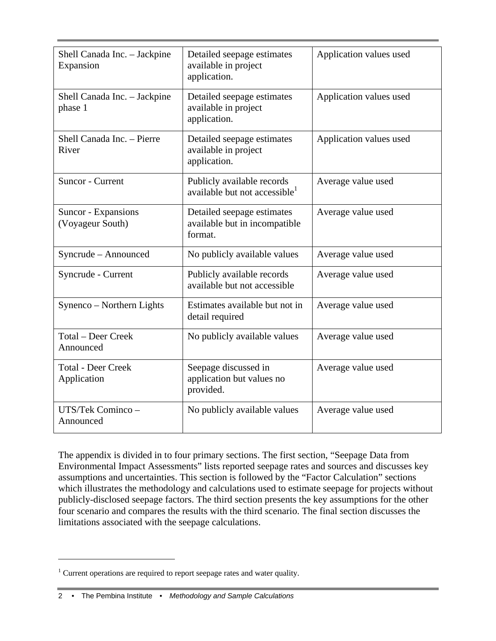| Shell Canada Inc. - Jackpine<br>Expansion | Detailed seepage estimates<br>available in project<br>application.      | Application values used |
|-------------------------------------------|-------------------------------------------------------------------------|-------------------------|
| Shell Canada Inc. - Jackpine<br>phase 1   | Detailed seepage estimates<br>available in project<br>application.      | Application values used |
| Shell Canada Inc. - Pierre<br>River       | Detailed seepage estimates<br>available in project<br>application.      | Application values used |
| Suncor - Current                          | Publicly available records<br>available but not accessible <sup>1</sup> | Average value used      |
| Suncor - Expansions<br>(Voyageur South)   | Detailed seepage estimates<br>available but in incompatible<br>format.  | Average value used      |
| Syncrude - Announced                      | No publicly available values                                            | Average value used      |
| Syncrude - Current                        | Publicly available records<br>available but not accessible              | Average value used      |
| Synenco - Northern Lights                 | Estimates available but not in<br>detail required                       | Average value used      |
| <b>Total – Deer Creek</b><br>Announced    | No publicly available values                                            | Average value used      |
| <b>Total - Deer Creek</b><br>Application  | Seepage discussed in<br>application but values no<br>provided.          | Average value used      |
| UTS/Tek Cominco-<br>Announced             | No publicly available values                                            | Average value used      |

The appendix is divided in to four primary sections. The first section, "Seepage Data from Environmental Impact Assessments" lists reported seepage rates and sources and discusses key assumptions and uncertainties. This section is followed by the "Factor Calculation" sections which illustrates the methodology and calculations used to estimate seepage for projects without publicly-disclosed seepage factors. The third section presents the key assumptions for the other four scenario and compares the results with the third scenario. The final section discusses the limitations associated with the seepage calculations.

 $\overline{a}$ 

<sup>&</sup>lt;sup>1</sup> Current operations are required to report seepage rates and water quality.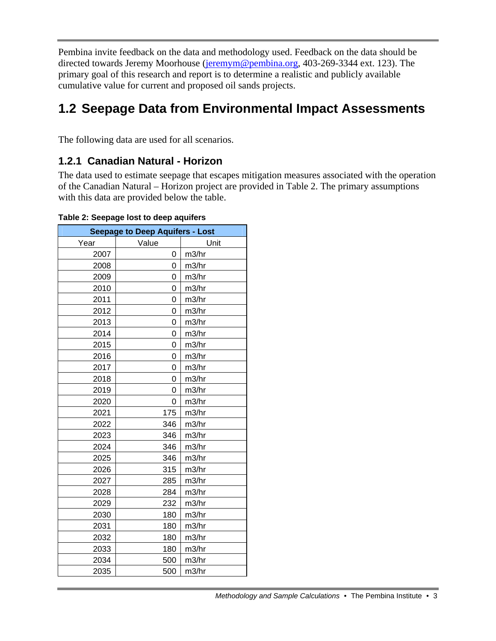Pembina invite feedback on the data and methodology used. Feedback on the data should be directed towards Jeremy Moorhouse (jeremym@pembina.org, 403-269-3344 ext. 123). The primary goal of this research and report is to determine a realistic and publicly available cumulative value for current and proposed oil sands projects.

## **1.2 Seepage Data from Environmental Impact Assessments**

The following data are used for all scenarios.

## **1.2.1 Canadian Natural - Horizon**

The data used to estimate seepage that escapes mitigation measures associated with the operation of the Canadian Natural – Horizon project are provided in Table 2. The primary assumptions with this data are provided below the table.

| <b>Seepage to Deep Aquifers - Lost</b> |       |       |  |  |
|----------------------------------------|-------|-------|--|--|
| Year                                   | Value | Unit  |  |  |
| 2007                                   | 0     | m3/hr |  |  |
| 2008                                   | 0     | m3/hr |  |  |
| 2009                                   | 0     | m3/hr |  |  |
| 2010                                   | 0     | m3/hr |  |  |
| 2011                                   | 0     | m3/hr |  |  |
| 2012                                   | 0     | m3/hr |  |  |
| 2013                                   | 0     | m3/hr |  |  |
| 2014                                   | 0     | m3/hr |  |  |
| 2015                                   | 0     | m3/hr |  |  |
| 2016                                   | 0     | m3/hr |  |  |
| 2017                                   | 0     | m3/hr |  |  |
| 2018                                   | 0     | m3/hr |  |  |
| 2019                                   | 0     | m3/hr |  |  |
| 2020                                   | 0     | m3/hr |  |  |
| 2021                                   | 175   | m3/hr |  |  |
| 2022                                   | 346   | m3/hr |  |  |
| 2023                                   | 346   | m3/hr |  |  |
| 2024                                   | 346   | m3/hr |  |  |
| 2025                                   | 346   | m3/hr |  |  |
| 2026                                   | 315   | m3/hr |  |  |
| 2027                                   | 285   | m3/hr |  |  |
| 2028                                   | 284   | m3/hr |  |  |
| 2029                                   | 232   | m3/hr |  |  |
| 2030                                   | 180   | m3/hr |  |  |
| 2031                                   | 180   | m3/hr |  |  |
| 2032                                   | 180   | m3/hr |  |  |
| 2033                                   | 180   | m3/hr |  |  |
| 2034                                   | 500   | m3/hr |  |  |
| 2035                                   | 500   | m3/hr |  |  |

**Table 2: Seepage lost to deep aquifers**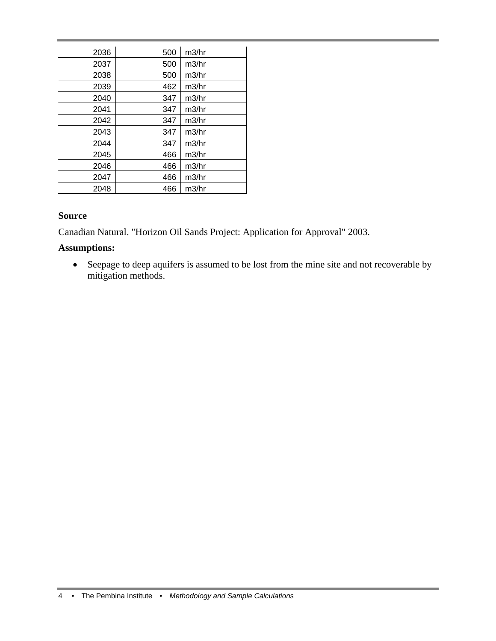| 2036 | 500 | m3/hr |
|------|-----|-------|
| 2037 | 500 | m3/hr |
| 2038 | 500 | m3/hr |
| 2039 | 462 | m3/hr |
| 2040 | 347 | m3/hr |
| 2041 | 347 | m3/hr |
| 2042 | 347 | m3/hr |
| 2043 | 347 | m3/hr |
| 2044 | 347 | m3/hr |
| 2045 | 466 | m3/hr |
| 2046 | 466 | m3/hr |
| 2047 | 466 | m3/hr |
| 2048 | 466 | m3/hr |

#### **Source**

Canadian Natural. "Horizon Oil Sands Project: Application for Approval" 2003.

#### **Assumptions:**

• Seepage to deep aquifers is assumed to be lost from the mine site and not recoverable by mitigation methods.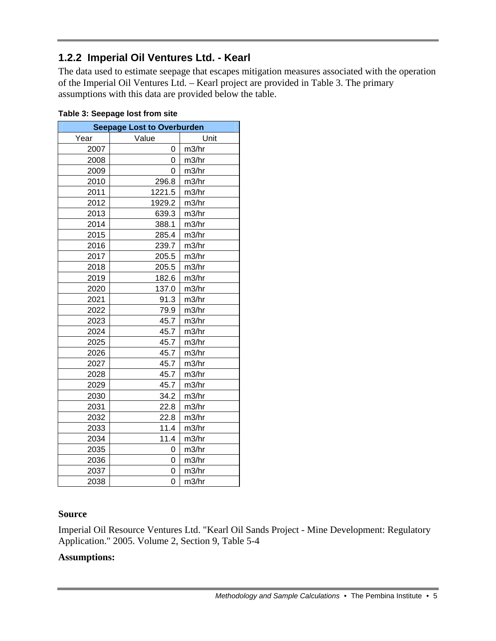## **1.2.2 Imperial Oil Ventures Ltd. - Kearl**

The data used to estimate seepage that escapes mitigation measures associated with the operation of the Imperial Oil Ventures Ltd. – Kearl project are provided in Table 3. The primary assumptions with this data are provided below the table.

| <b>Seepage Lost to Overburden</b> |        |       |
|-----------------------------------|--------|-------|
| Year                              | Value  | Unit  |
| 2007                              | 0      | m3/hr |
| 2008                              | 0      | m3/hr |
| 2009                              | 0      | m3/hr |
| 2010                              | 296.8  | m3/hr |
| 2011                              | 1221.5 | m3/hr |
| 2012                              | 1929.2 | m3/hr |
| 2013                              | 639.3  | m3/hr |
| 2014                              | 388.1  | m3/hr |
| 2015                              | 285.4  | m3/hr |
| 2016                              | 239.7  | m3/hr |
| 2017                              | 205.5  | m3/hr |
| 2018                              | 205.5  | m3/hr |
| 2019                              | 182.6  | m3/hr |
| 2020                              | 137.0  | m3/hr |
| 2021                              | 91.3   | m3/hr |
| 2022                              | 79.9   | m3/hr |
| 2023                              | 45.7   | m3/hr |
| 2024                              | 45.7   | m3/hr |
| 2025                              | 45.7   | m3/hr |
| 2026                              | 45.7   | m3/hr |
| 2027                              | 45.7   | m3/hr |
| 2028                              | 45.7   | m3/hr |
| 2029                              | 45.7   | m3/hr |
| 2030                              | 34.2   | m3/hr |
| 2031                              | 22.8   | m3/hr |
| 2032                              | 22.8   | m3/hr |
| 2033                              | 11.4   | m3/hr |
| 2034                              | 11.4   | m3/hr |
| 2035                              | 0      | m3/hr |
| 2036                              | 0      | m3/hr |
| 2037                              | 0      | m3/hr |
| 2038                              | 0      | m3/hr |

#### **Table 3: Seepage lost from site**

#### **Source**

Imperial Oil Resource Ventures Ltd. "Kearl Oil Sands Project - Mine Development: Regulatory Application." 2005. Volume 2, Section 9, Table 5-4

#### **Assumptions:**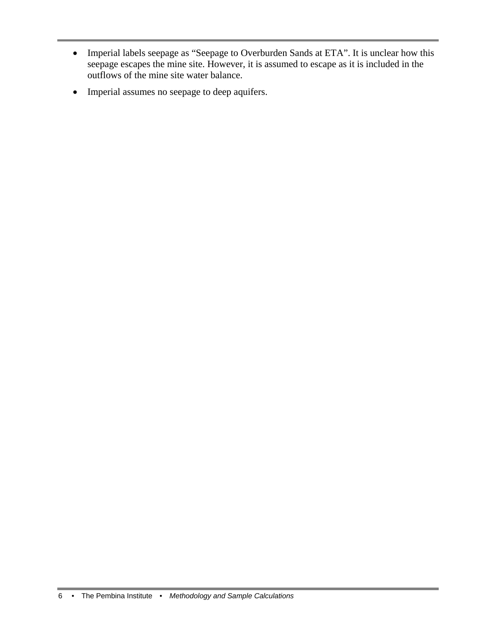- Imperial labels seepage as "Seepage to Overburden Sands at ETA". It is unclear how this seepage escapes the mine site. However, it is assumed to escape as it is included in the outflows of the mine site water balance.
- Imperial assumes no seepage to deep aquifers.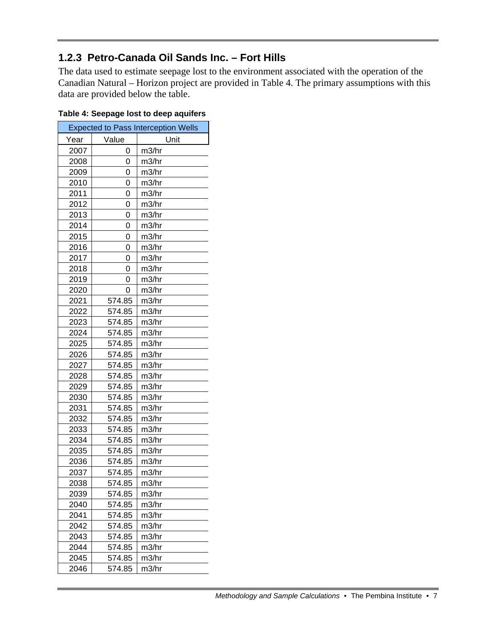## **1.2.3 Petro-Canada Oil Sands Inc. – Fort Hills**

The data used to estimate seepage lost to the environment associated with the operation of the Canadian Natural – Horizon project are provided in Table 4. The primary assumptions with this data are provided below the table.

| <b>Expected to Pass Interception Wells</b> |        |       |  |
|--------------------------------------------|--------|-------|--|
| Year                                       | Value  | Unit  |  |
| 2007                                       | 0      | m3/hr |  |
| 2008                                       | 0      | m3/hr |  |
| 2009                                       | 0      | m3/hr |  |
| 2010                                       | 0      | m3/hr |  |
| 2011                                       | 0      | m3/hr |  |
| 2012                                       | 0      | m3/hr |  |
| 2013                                       | 0      | m3/hr |  |
| 2014                                       | 0      | m3/hr |  |
| 2015                                       | 0      | m3/hr |  |
| 2016                                       | 0      | m3/hr |  |
| 2017                                       | 0      | m3/hr |  |
| 2018                                       | 0      | m3/hr |  |
| 2019                                       | 0      | m3/hr |  |
| 2020                                       | 0      | m3/hr |  |
| 2021                                       | 574.85 | m3/hr |  |
| 2022                                       | 574.85 | m3/hr |  |
| 2023                                       | 574.85 | m3/hr |  |
| 2024                                       | 574.85 | m3/hr |  |
| 2025                                       | 574.85 | m3/hr |  |
| 2026                                       | 574.85 | m3/hr |  |
| 2027                                       | 574.85 | m3/hr |  |
| 2028                                       | 574.85 | m3/hr |  |
| 2029                                       | 574.85 | m3/hr |  |
| 2030                                       | 574.85 | m3/hr |  |
| 2031                                       | 574.85 | m3/hr |  |
| 2032                                       | 574.85 | m3/hr |  |
| 2033                                       | 574.85 | m3/hr |  |
| 2034                                       | 574.85 | m3/hr |  |
| 2035                                       | 574.85 | m3/hr |  |
| 2036                                       | 574.85 | m3/hr |  |
| 2037                                       | 574.85 | m3/hr |  |
| 2038                                       | 574.85 | m3/hr |  |
| 2039                                       | 574.85 | m3/hr |  |
| 2040                                       | 574.85 | m3/hr |  |
| 2041                                       | 574.85 | m3/hr |  |
| 2042                                       | 574.85 | m3/hr |  |
| 2043                                       | 574.85 | m3/hr |  |
| 2044                                       | 574.85 | m3/hr |  |
| 2045                                       | 574.85 | m3/hr |  |
| 2046                                       | 574.85 | m3/hr |  |

#### **Table 4: Seepage lost to deep aquifers**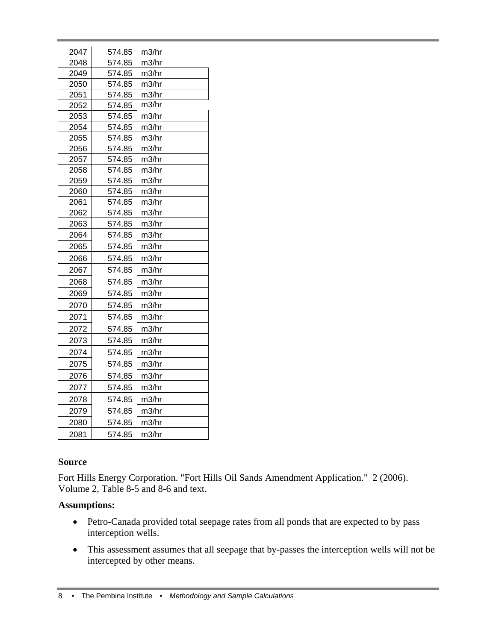| 2047 | 574.85 | m3/hr |
|------|--------|-------|
| 2048 | 574.85 | m3/hr |
| 2049 | 574.85 | m3/hr |
| 2050 | 574.85 | m3/hr |
| 2051 | 574.85 | m3/hr |
| 2052 | 574.85 | m3/hr |
| 2053 | 574.85 | m3/hr |
| 2054 | 574.85 | m3/hr |
| 2055 | 574.85 | m3/hr |
| 2056 | 574.85 | m3/hr |
| 2057 | 574.85 | m3/hr |
| 2058 | 574.85 | m3/hr |
| 2059 | 574.85 | m3/hr |
| 2060 | 574.85 | m3/hr |
| 2061 | 574.85 | m3/hr |
| 2062 | 574.85 | m3/hr |
| 2063 | 574.85 | m3/hr |
| 2064 | 574.85 | m3/hr |
| 2065 | 574.85 | m3/hr |
| 2066 | 574.85 | m3/hr |
| 2067 | 574.85 | m3/hr |
| 2068 | 574.85 | m3/hr |
| 2069 | 574.85 | m3/hr |
| 2070 | 574.85 | m3/hr |
| 2071 | 574.85 | m3/hr |
| 2072 | 574.85 | m3/hr |
| 2073 | 574.85 | m3/hr |
| 2074 | 574.85 | m3/hr |
| 2075 | 574.85 | m3/hr |
| 2076 | 574.85 | m3/hr |
| 2077 | 574.85 | m3/hr |
| 2078 | 574.85 | m3/hr |
|      |        |       |
| 2079 | 574.85 | m3/hr |
| 2080 | 574.85 | m3/hr |
| 2081 | 574.85 | m3/hr |

#### **Source**

Fort Hills Energy Corporation. "Fort Hills Oil Sands Amendment Application." 2 (2006). Volume 2, Table 8-5 and 8-6 and text.

#### **Assumptions:**

- Petro-Canada provided total seepage rates from all ponds that are expected to by pass interception wells.
- This assessment assumes that all seepage that by-passes the interception wells will not be intercepted by other means.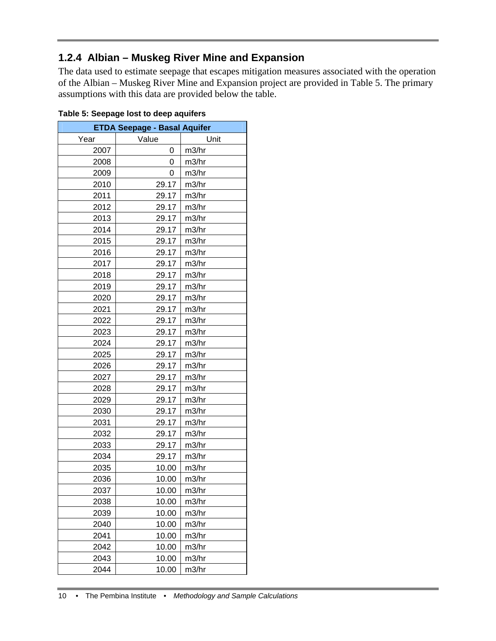## **1.2.4 Albian – Muskeg River Mine and Expansion**

The data used to estimate seepage that escapes mitigation measures associated with the operation of the Albian – Muskeg River Mine and Expansion project are provided in Table 5. The primary assumptions with this data are provided below the table.

| <b>ETDA Seepage - Basal Aquifer</b> |       |       |  |  |
|-------------------------------------|-------|-------|--|--|
| Year                                | Value | Unit  |  |  |
| 2007                                | 0     | m3/hr |  |  |
| 2008                                | 0     | m3/hr |  |  |
| 2009                                | 0     | m3/hr |  |  |
| 2010                                | 29.17 | m3/hr |  |  |
| 2011                                | 29.17 | m3/hr |  |  |
| 2012                                | 29.17 | m3/hr |  |  |
| 2013                                | 29.17 | m3/hr |  |  |
| 2014                                | 29.17 | m3/hr |  |  |
| 2015                                | 29.17 | m3/hr |  |  |
| 2016                                | 29.17 | m3/hr |  |  |
| 2017                                | 29.17 | m3/hr |  |  |
| 2018                                | 29.17 | m3/hr |  |  |
| 2019                                | 29.17 | m3/hr |  |  |
| 2020                                | 29.17 | m3/hr |  |  |
| 2021                                | 29.17 | m3/hr |  |  |
| 2022                                | 29.17 | m3/hr |  |  |
| 2023                                | 29.17 | m3/hr |  |  |
| 2024                                | 29.17 | m3/hr |  |  |
| 2025                                | 29.17 | m3/hr |  |  |
| 2026                                | 29.17 | m3/hr |  |  |
| 2027                                | 29.17 | m3/hr |  |  |
| 2028                                | 29.17 | m3/hr |  |  |
| 2029                                | 29.17 | m3/hr |  |  |
| 2030                                | 29.17 | m3/hr |  |  |
| 2031                                | 29.17 | m3/hr |  |  |
| 2032                                | 29.17 | m3/hr |  |  |
| 2033                                | 29.17 | m3/hr |  |  |
| 2034                                | 29.17 | m3/hr |  |  |
| 2035                                | 10.00 | m3/hr |  |  |
| 2036                                | 10.00 | m3/hr |  |  |
| 2037                                | 10.00 | m3/hr |  |  |
| 2038                                | 10.00 | m3/hr |  |  |
| 2039                                | 10.00 | m3/hr |  |  |
| 2040                                | 10.00 | m3/hr |  |  |
| 2041                                | 10.00 | m3/hr |  |  |
| 2042                                | 10.00 | m3/hr |  |  |
| 2043                                | 10.00 | m3/hr |  |  |
| 2044                                | 10.00 | m3/hr |  |  |

|  | Table 5: Seepage lost to deep aquifers |  |  |
|--|----------------------------------------|--|--|
|  |                                        |  |  |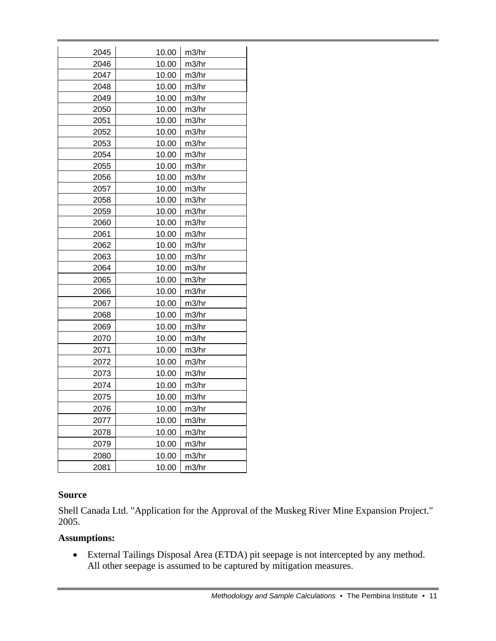| 2045 | 10.00 | m3/hr |
|------|-------|-------|
| 2046 | 10.00 | m3/hr |
| 2047 | 10.00 | m3/hr |
| 2048 | 10.00 | m3/hr |
| 2049 | 10.00 | m3/hr |
| 2050 | 10.00 | m3/hr |
| 2051 | 10.00 | m3/hr |
| 2052 | 10.00 | m3/hr |
| 2053 | 10.00 | m3/hr |
| 2054 | 10.00 | m3/hr |
| 2055 | 10.00 | m3/hr |
| 2056 | 10.00 | m3/hr |
| 2057 | 10.00 | m3/hr |
| 2058 | 10.00 | m3/hr |
| 2059 | 10.00 | m3/hr |
| 2060 | 10.00 | m3/hr |
| 2061 | 10.00 | m3/hr |
| 2062 | 10.00 | m3/hr |
| 2063 | 10.00 | m3/hr |
| 2064 | 10.00 | m3/hr |
| 2065 | 10.00 | m3/hr |
| 2066 | 10.00 | m3/hr |
| 2067 | 10.00 | m3/hr |
| 2068 | 10.00 | m3/hr |
| 2069 | 10.00 | m3/hr |
| 2070 | 10.00 | m3/hr |
| 2071 | 10.00 | m3/hr |
| 2072 | 10.00 | m3/hr |
| 2073 | 10.00 | m3/hr |
| 2074 | 10.00 | m3/hr |
| 2075 | 10.00 | m3/hr |
| 2076 | 10.00 | m3/hr |
| 2077 | 10.00 | m3/hr |
| 2078 | 10.00 | m3/hr |
| 2079 | 10.00 | m3/hr |
| 2080 | 10.00 | m3/hr |
| 2081 | 10.00 | m3/hr |

#### **Source**

Shell Canada Ltd. "Application for the Approval of the Muskeg River Mine Expansion Project." 2005.

#### **Assumptions:**

• External Tailings Disposal Area (ETDA) pit seepage is not intercepted by any method. All other seepage is assumed to be captured by mitigation measures.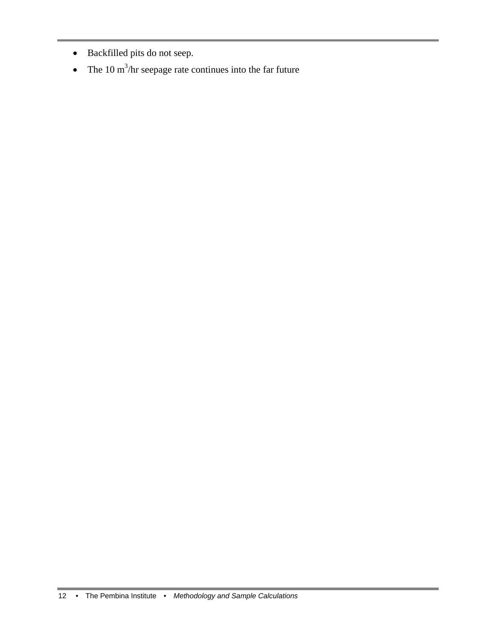- Backfilled pits do not seep.
- The 10 m<sup>3</sup>/hr seepage rate continues into the far future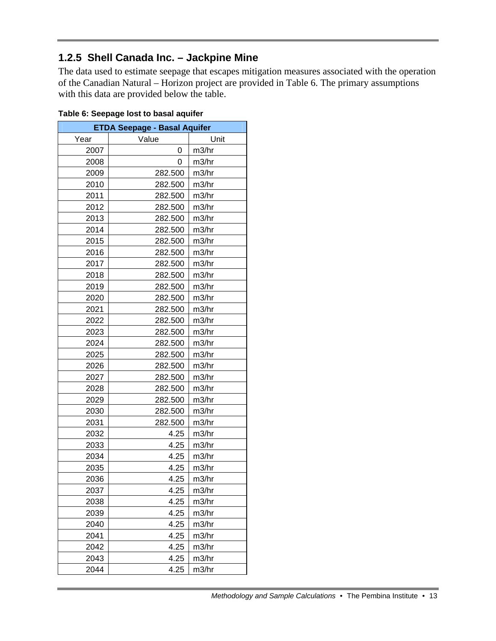## **1.2.5 Shell Canada Inc. – Jackpine Mine**

The data used to estimate seepage that escapes mitigation measures associated with the operation of the Canadian Natural – Horizon project are provided in Table 6. The primary assumptions with this data are provided below the table.

| <b>ETDA Seepage - Basal Aquifer</b> |         |       |  |  |
|-------------------------------------|---------|-------|--|--|
| Year                                | Value   | Unit  |  |  |
| 2007                                | 0       | m3/hr |  |  |
| 2008                                | 0       | m3/hr |  |  |
| 2009                                | 282.500 | m3/hr |  |  |
| 2010                                | 282.500 | m3/hr |  |  |
| 2011                                | 282.500 | m3/hr |  |  |
| 2012                                | 282.500 | m3/hr |  |  |
| 2013                                | 282.500 | m3/hr |  |  |
| 2014                                | 282.500 | m3/hr |  |  |
| 2015                                | 282.500 | m3/hr |  |  |
| 2016                                | 282.500 | m3/hr |  |  |
| 2017                                | 282.500 | m3/hr |  |  |
| 2018                                | 282.500 | m3/hr |  |  |
| 2019                                | 282.500 | m3/hr |  |  |
| 2020                                | 282.500 | m3/hr |  |  |
| 2021                                | 282.500 | m3/hr |  |  |
| 2022                                | 282.500 | m3/hr |  |  |
| 2023                                | 282.500 | m3/hr |  |  |
| 2024                                | 282.500 | m3/hr |  |  |
| 2025                                | 282.500 | m3/hr |  |  |
| 2026                                | 282.500 | m3/hr |  |  |
| 2027                                | 282.500 | m3/hr |  |  |
| 2028                                | 282.500 | m3/hr |  |  |
| 2029                                | 282.500 | m3/hr |  |  |
| 2030                                | 282.500 | m3/hr |  |  |
| 2031                                | 282.500 | m3/hr |  |  |
| 2032                                | 4.25    | m3/hr |  |  |
| 2033                                | 4.25    | m3/hr |  |  |
| 2034                                | 4.25    | m3/hr |  |  |
| 2035                                | 4.25    | m3/hr |  |  |
| 2036                                | 4.25    | m3/hr |  |  |
| 2037                                | 4.25    | m3/hr |  |  |
| 2038                                | 4.25    | m3/hr |  |  |
| 2039                                | 4.25    | m3/hr |  |  |
| 2040                                | 4.25    | m3/hr |  |  |
| 2041                                | 4.25    | m3/hr |  |  |
| 2042                                | 4.25    | m3/hr |  |  |
| 2043                                | 4.25    | m3/hr |  |  |
| 2044                                | 4.25    | m3/hr |  |  |

| Table 6: Seepage lost to basal aquifer |  |  |
|----------------------------------------|--|--|
|                                        |  |  |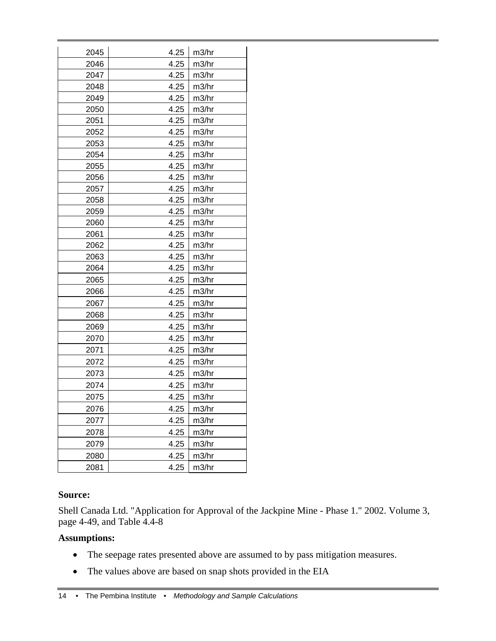| 2045 | 4.25 | m3/hr |
|------|------|-------|
| 2046 | 4.25 | m3/hr |
| 2047 | 4.25 | m3/hr |
| 2048 | 4.25 | m3/hr |
| 2049 | 4.25 | m3/hr |
| 2050 | 4.25 | m3/hr |
| 2051 | 4.25 | m3/hr |
| 2052 | 4.25 | m3/hr |
| 2053 | 4.25 | m3/hr |
| 2054 | 4.25 | m3/hr |
| 2055 | 4.25 | m3/hr |
| 2056 | 4.25 | m3/hr |
| 2057 | 4.25 | m3/hr |
| 2058 | 4.25 | m3/hr |
| 2059 | 4.25 | m3/hr |
| 2060 | 4.25 | m3/hr |
| 2061 | 4.25 | m3/hr |
| 2062 | 4.25 | m3/hr |
| 2063 | 4.25 | m3/hr |
| 2064 | 4.25 | m3/hr |
| 2065 | 4.25 | m3/hr |
| 2066 | 4.25 | m3/hr |
| 2067 | 4.25 | m3/hr |
| 2068 | 4.25 | m3/hr |
| 2069 | 4.25 | m3/hr |
| 2070 | 4.25 | m3/hr |
| 2071 | 4.25 | m3/hr |
| 2072 | 4.25 | m3/hr |
| 2073 | 4.25 | m3/hr |
| 2074 | 4.25 | m3/hr |
| 2075 | 4.25 | m3/hr |
| 2076 | 4.25 | m3/hr |
| 2077 | 4.25 | m3/hr |
| 2078 | 4.25 | m3/hr |
| 2079 | 4.25 | m3/hr |
| 2080 | 4.25 | m3/hr |
| 2081 | 4.25 | m3/hr |
|      |      |       |

#### **Source:**

Shell Canada Ltd. "Application for Approval of the Jackpine Mine - Phase 1." 2002. Volume 3, page 4-49, and Table 4.4-8

#### **Assumptions:**

- The seepage rates presented above are assumed to by pass mitigation measures.
- The values above are based on snap shots provided in the EIA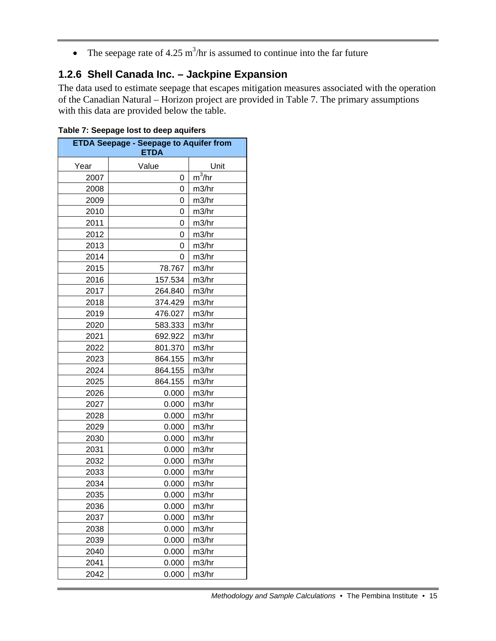• The seepage rate of 4.25 m<sup>3</sup>/hr is assumed to continue into the far future

## **1.2.6 Shell Canada Inc. – Jackpine Expansion**

The data used to estimate seepage that escapes mitigation measures associated with the operation of the Canadian Natural – Horizon project are provided in Table 7. The primary assumptions with this data are provided below the table.

| <b>ETDA Seepage - Seepage to Aquifer from</b><br><b>ETDA</b> |         |                     |  |  |
|--------------------------------------------------------------|---------|---------------------|--|--|
| Year                                                         | Value   | Unit                |  |  |
| 2007                                                         | 0       | $\overline{m^3}/hr$ |  |  |
| 2008                                                         | 0       | m3/hr               |  |  |
| 2009                                                         | 0       | m3/hr               |  |  |
| 2010                                                         | 0       | m3/hr               |  |  |
| 2011                                                         | 0       | m3/hr               |  |  |
| 2012                                                         | 0       | m3/hr               |  |  |
| 2013                                                         | 0       | m3/hr               |  |  |
| 2014                                                         | 0       | m3/hr               |  |  |
| 2015                                                         | 78.767  | m3/hr               |  |  |
| 2016                                                         | 157.534 | m3/hr               |  |  |
| 2017                                                         | 264.840 | m3/hr               |  |  |
| 2018                                                         | 374.429 | m3/hr               |  |  |
| 2019                                                         | 476.027 | m3/hr               |  |  |
| 2020                                                         | 583.333 | m3/hr               |  |  |
| 2021                                                         | 692.922 | m3/hr               |  |  |
| 2022                                                         | 801.370 | m3/hr               |  |  |
| 2023                                                         | 864.155 | m3/hr               |  |  |
| 2024                                                         | 864.155 | m3/hr               |  |  |
| 2025                                                         | 864.155 | m3/hr               |  |  |
| 2026                                                         | 0.000   | m3/hr               |  |  |
| 2027                                                         | 0.000   | m3/hr               |  |  |
| 2028                                                         | 0.000   | m3/hr               |  |  |
| 2029                                                         | 0.000   | m3/hr               |  |  |
| 2030                                                         | 0.000   | m3/hr               |  |  |
| 2031                                                         | 0.000   | m3/hr               |  |  |
| 2032                                                         | 0.000   | m3/hr               |  |  |
| 2033                                                         | 0.000   | m3/hr               |  |  |
| 2034                                                         | 0.000   | m3/hr               |  |  |
| 2035                                                         | 0.000   | m3/hr               |  |  |
| 2036                                                         | 0.000   | m3/hr               |  |  |
| 2037                                                         | 0.000   | m3/hr               |  |  |
| 2038                                                         | 0.000   | m3/hr               |  |  |
| 2039                                                         | 0.000   | m3/hr               |  |  |
| 2040                                                         | 0.000   | m3/hr               |  |  |
| 2041                                                         | 0.000   | m3/hr               |  |  |
| 2042                                                         | 0.000   | m3/hr               |  |  |

**Table 7: Seepage lost to deep aquifers**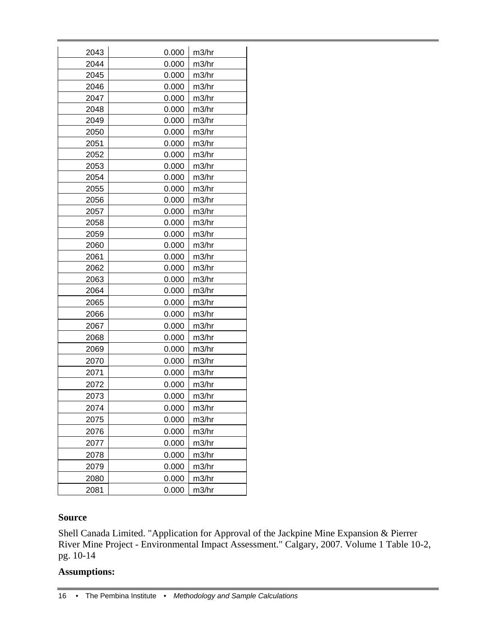| 2043 | 0.000 | m3/hr |
|------|-------|-------|
| 2044 | 0.000 | m3/hr |
| 2045 | 0.000 | m3/hr |
| 2046 | 0.000 | m3/hr |
| 2047 | 0.000 | m3/hr |
| 2048 | 0.000 | m3/hr |
| 2049 | 0.000 | m3/hr |
| 2050 | 0.000 | m3/hr |
| 2051 | 0.000 | m3/hr |
| 2052 | 0.000 | m3/hr |
| 2053 | 0.000 | m3/hr |
| 2054 | 0.000 | m3/hr |
| 2055 | 0.000 | m3/hr |
| 2056 | 0.000 | m3/hr |
| 2057 | 0.000 | m3/hr |
| 2058 | 0.000 | m3/hr |
| 2059 | 0.000 | m3/hr |
| 2060 | 0.000 | m3/hr |
| 2061 | 0.000 | m3/hr |
| 2062 | 0.000 | m3/hr |
| 2063 | 0.000 | m3/hr |
| 2064 | 0.000 | m3/hr |
| 2065 | 0.000 | m3/hr |
| 2066 | 0.000 | m3/hr |
| 2067 | 0.000 | m3/hr |
| 2068 | 0.000 | m3/hr |
| 2069 | 0.000 | m3/hr |
| 2070 | 0.000 | m3/hr |
| 2071 | 0.000 | m3/hr |
| 2072 | 0.000 | m3/hr |
| 2073 | 0.000 | m3/hr |
| 2074 | 0.000 | m3/hr |
| 2075 | 0.000 | m3/hr |
| 2076 | 0.000 | m3/hr |
| 2077 | 0.000 | m3/hr |
| 2078 | 0.000 | m3/hr |
| 2079 | 0.000 | m3/hr |
| 2080 | 0.000 | m3/hr |
| 2081 | 0.000 | m3/hr |

#### **Source**

Shell Canada Limited. "Application for Approval of the Jackpine Mine Expansion & Pierrer River Mine Project - Environmental Impact Assessment." Calgary, 2007. Volume 1 Table 10-2, pg. 10-14

#### **Assumptions:**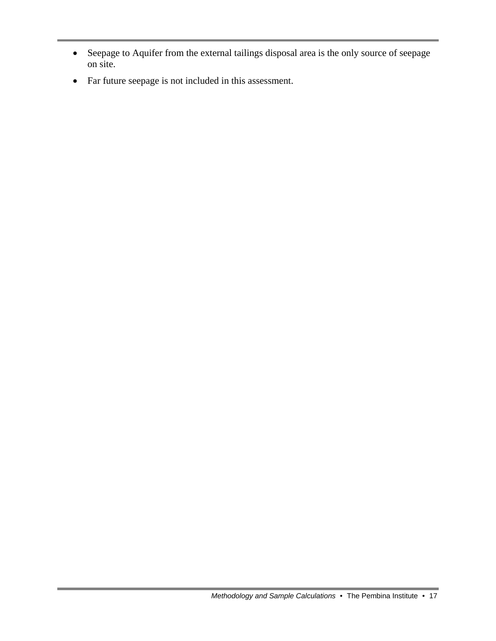- Seepage to Aquifer from the external tailings disposal area is the only source of seepage on site.
- Far future seepage is not included in this assessment.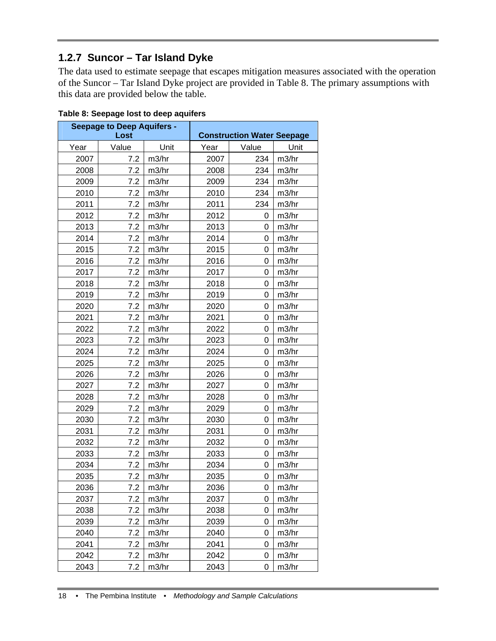## **1.2.7 Suncor – Tar Island Dyke**

The data used to estimate seepage that escapes mitigation measures associated with the operation of the Suncor – Tar Island Dyke project are provided in Table 8. The primary assumptions with this data are provided below the table.

| <b>Seepage to Deep Aquifers -</b><br>Lost |       |                    | <b>Construction Water Seepage</b> |       |                    |
|-------------------------------------------|-------|--------------------|-----------------------------------|-------|--------------------|
| Year                                      | Value | Unit               | Year                              | Value | Unit               |
| 2007                                      | 7.2   | m3/hr              | 2007                              | 234   | m3/hr              |
| 2008                                      | 7.2   | m3/hr              | 2008                              | 234   | m3/hr              |
| 2009                                      | 7.2   | m3/hr              | 2009                              | 234   | m3/hr              |
| 2010                                      | 7.2   | m3/hr              | 2010                              | 234   | m3/hr              |
| 2011                                      | 7.2   | m3/hr              | 2011                              | 234   | m3/hr              |
| 2012                                      | 7.2   | m3/hr              | 2012                              | 0     | m3/hr              |
| 2013                                      | 7.2   | m <sub>3</sub> /hr | 2013                              | 0     | m3/hr              |
| 2014                                      | 7.2   | m3/hr              | 2014                              | 0     | m3/hr              |
| 2015                                      | 7.2   | m3/hr              | 2015                              | 0     | m3/hr              |
| 2016                                      | 7.2   | m <sub>3</sub> /hr | 2016                              | 0     | m <sub>3</sub> /hr |
| 2017                                      | 7.2   | m3/hr              | 2017                              | 0     | m3/hr              |
| 2018                                      | 7.2   | m3/hr              | 2018                              | 0     | m3/hr              |
| 2019                                      | 7.2   | m <sub>3</sub> /hr | 2019                              | 0     | m <sub>3</sub> /hr |
| 2020                                      | 7.2   | m3/hr              | 2020                              | 0     | m3/hr              |
| 2021                                      | 7.2   | m3/hr              | 2021                              | 0     | m3/hr              |
| 2022                                      | 7.2   | m3/hr              | 2022                              | 0     | m <sub>3</sub> /hr |
| 2023                                      | 7.2   | m3/hr              | 2023                              | 0     | m3/hr              |
| 2024                                      | 7.2   | m3/hr              | 2024                              | 0     | m3/hr              |
| 2025                                      | 7.2   | m <sub>3</sub> /hr | 2025                              | 0     | m <sub>3</sub> /hr |
| 2026                                      | 7.2   | m3/hr              | 2026                              | 0     | m3/hr              |
| 2027                                      | 7.2   | m3/hr              | 2027                              | 0     | m3/hr              |
| 2028                                      | 7.2   | m <sub>3</sub> /hr | 2028                              | 0     | m <sub>3</sub> /hr |
| 2029                                      | 7.2   | m3/hr              | 2029                              | 0     | m3/hr              |
| 2030                                      | 7.2   | m3/hr              | 2030                              | 0     | m3/hr              |
| 2031                                      | 7.2   | m <sub>3</sub> /hr | 2031                              | 0     | m <sub>3</sub> /hr |
| 2032                                      | 7.2   | m3/hr              | 2032                              | 0     | m3/hr              |
| 2033                                      | 7.2   | m3/hr              | 2033                              | 0     | m3/hr              |
| 2034                                      | 7.2   | m <sub>3</sub> /hr | 2034                              | 0     | m3/hr              |
| 2035                                      | 7.2   | m3/hr              | 2035                              | 0     | m3/hr              |
| 2036                                      | 7.2   | m3/hr              | 2036                              | 0     | m3/hr              |
| 2037                                      | 7.2   | m3/hr              | 2037                              | 0     | m3/hr              |
| 2038                                      | 7.2   | m3/hr              | 2038                              | 0     | m3/hr              |
| 2039                                      | 7.2   | m3/hr              | 2039                              | 0     | m3/hr              |
| 2040                                      | 7.2   | m3/hr              | 2040                              | 0     | m3/hr              |
| 2041                                      | 7.2   | m3/hr              | 2041                              | 0     | m3/hr              |
| 2042                                      | 7.2   | m3/hr              | 2042                              | 0     | m3/hr              |
| 2043                                      | 7.2   | m3/hr              | 2043                              | 0     | m3/hr              |

#### **Table 8: Seepage lost to deep aquifers**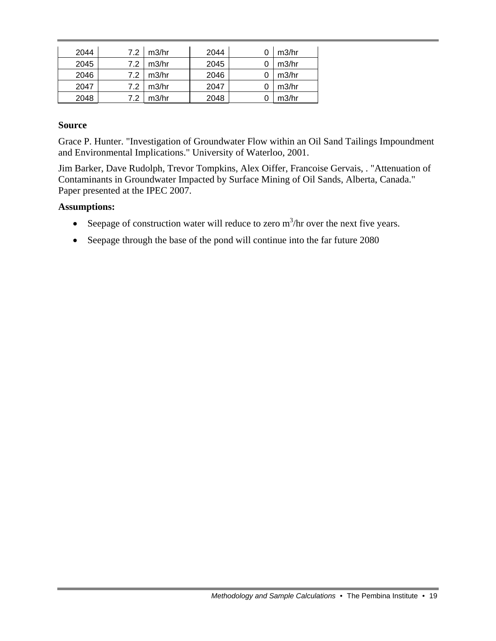| 2044 | 7.2 | m3/hr | 2044 | m3/hr |
|------|-----|-------|------|-------|
| 2045 | 7.2 | m3/hr | 2045 | m3/hr |
| 2046 | 7.2 | m3/hr | 2046 | m3/hr |
| 2047 | 7.2 | m3/hr | 2047 | m3/hr |
| 2048 | 7.2 | m3/hr | 2048 | m3/hr |

#### **Source**

Grace P. Hunter. "Investigation of Groundwater Flow within an Oil Sand Tailings Impoundment and Environmental Implications." University of Waterloo, 2001.

Jim Barker, Dave Rudolph, Trevor Tompkins, Alex Oiffer, Francoise Gervais, . "Attenuation of Contaminants in Groundwater Impacted by Surface Mining of Oil Sands, Alberta, Canada." Paper presented at the IPEC 2007.

#### **Assumptions:**

- Seepage of construction water will reduce to zero  $m^3/hr$  over the next five years.
- Seepage through the base of the pond will continue into the far future 2080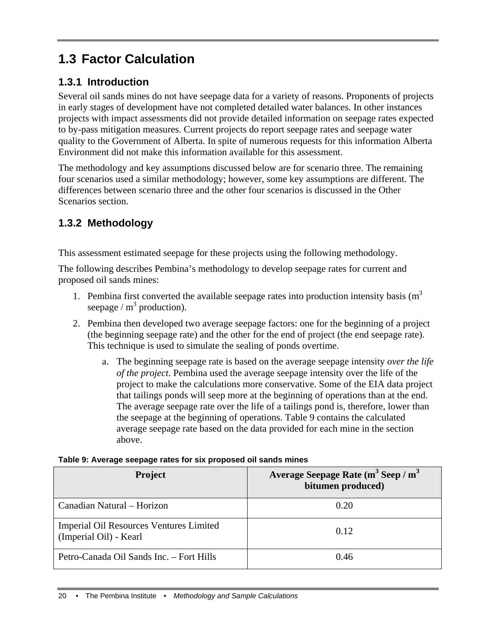# **1.3 Factor Calculation**

## **1.3.1 Introduction**

Several oil sands mines do not have seepage data for a variety of reasons. Proponents of projects in early stages of development have not completed detailed water balances. In other instances projects with impact assessments did not provide detailed information on seepage rates expected to by-pass mitigation measures. Current projects do report seepage rates and seepage water quality to the Government of Alberta. In spite of numerous requests for this information Alberta Environment did not make this information available for this assessment.

The methodology and key assumptions discussed below are for scenario three. The remaining four scenarios used a similar methodology; however, some key assumptions are different. The differences between scenario three and the other four scenarios is discussed in the Other Scenarios section.

## **1.3.2 Methodology**

This assessment estimated seepage for these projects using the following methodology.

The following describes Pembina's methodology to develop seepage rates for current and proposed oil sands mines:

- 1. Pembina first converted the available seepage rates into production intensity basis  $(m<sup>3</sup>)$ seepage /  $m^3$  production).
- 2. Pembina then developed two average seepage factors: one for the beginning of a project (the beginning seepage rate) and the other for the end of project (the end seepage rate). This technique is used to simulate the sealing of ponds overtime.
	- a. The beginning seepage rate is based on the average seepage intensity *over the life of the project*. Pembina used the average seepage intensity over the life of the project to make the calculations more conservative. Some of the EIA data project that tailings ponds will seep more at the beginning of operations than at the end. The average seepage rate over the life of a tailings pond is, therefore, lower than the seepage at the beginning of operations. Table 9 contains the calculated average seepage rate based on the data provided for each mine in the section above.

#### **Table 9: Average seepage rates for six proposed oil sands mines**

| <b>Project</b>                                                    | Average Seepage Rate $(m^3$ Seep / $m^3$<br>bitumen produced) |
|-------------------------------------------------------------------|---------------------------------------------------------------|
| Canadian Natural – Horizon                                        | 0.20                                                          |
| Imperial Oil Resources Ventures Limited<br>(Imperial Oil) - Kearl | 0.12                                                          |
| Petro-Canada Oil Sands Inc. – Fort Hills                          | 0.46                                                          |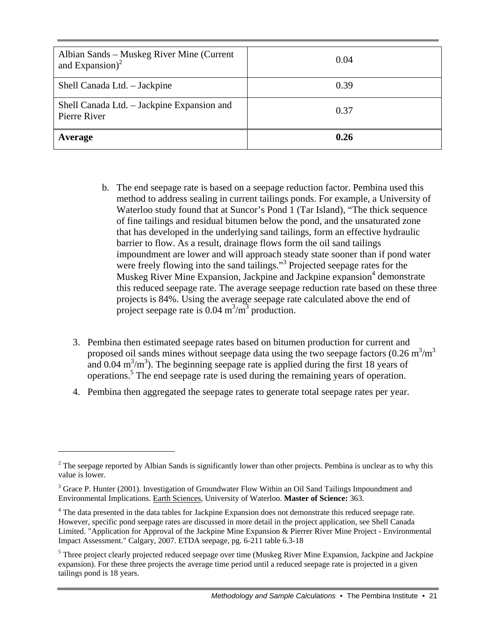| Albian Sands – Muskeg River Mine (Current<br>and Expansion) $^{2}$ | 0.04 |
|--------------------------------------------------------------------|------|
| Shell Canada Ltd. - Jackpine                                       | 0.39 |
| Shell Canada Ltd. – Jackpine Expansion and<br>Pierre River         | 0.37 |
| Average                                                            | 0.26 |

- b. The end seepage rate is based on a seepage reduction factor. Pembina used this method to address sealing in current tailings ponds. For example, a University of Waterloo study found that at Suncor's Pond 1 (Tar Island), "The thick sequence of fine tailings and residual bitumen below the pond, and the unsaturated zone that has developed in the underlying sand tailings, form an effective hydraulic barrier to flow. As a result, drainage flows form the oil sand tailings impoundment are lower and will approach steady state sooner than if pond water were freely flowing into the sand tailings."<sup>3</sup> Projected seepage rates for the Muskeg River Mine Expansion, Jackpine and Jackpine expansion<sup>4</sup> demonstrate this reduced seepage rate. The average seepage reduction rate based on these three projects is 84%. Using the average seepage rate calculated above the end of project seepage rate is  $0.04 \text{ m}^3/\text{m}^3$  production.
- 3. Pembina then estimated seepage rates based on bitumen production for current and proposed oil sands mines without seepage data using the two seepage factors  $(0.26 \text{ m}^3/\text{m}^3)$ and  $0.04 \text{ m}^3/\text{m}^3$ ). The beginning seepage rate is applied during the first 18 years of operations.5 The end seepage rate is used during the remaining years of operation.
- 4. Pembina then aggregated the seepage rates to generate total seepage rates per year.

 $\overline{a}$ 

 $2<sup>2</sup>$  The seepage reported by Albian Sands is significantly lower than other projects. Pembina is unclear as to why this value is lower.

<sup>&</sup>lt;sup>3</sup> Grace P. Hunter (2001). Investigation of Groundwater Flow Within an Oil Sand Tailings Impoundment and Environmental Implications. Earth Sciences, University of Waterloo. **Master of Science:** 363.

<sup>&</sup>lt;sup>4</sup> The data presented in the data tables for Jackpine Expansion does not demonstrate this reduced seepage rate. However, specific pond seepage rates are discussed in more detail in the project application, see Shell Canada Limited. "Application for Approval of the Jackpine Mine Expansion & Pierrer River Mine Project - Environmental Impact Assessment." Calgary, 2007. ETDA seepage, pg. 6-211 table 6.3-18

<sup>&</sup>lt;sup>5</sup> Three project clearly projected reduced seepage over time (Muskeg River Mine Expansion, Jackpine and Jackpine expansion). For these three projects the average time period until a reduced seepage rate is projected in a given tailings pond is 18 years.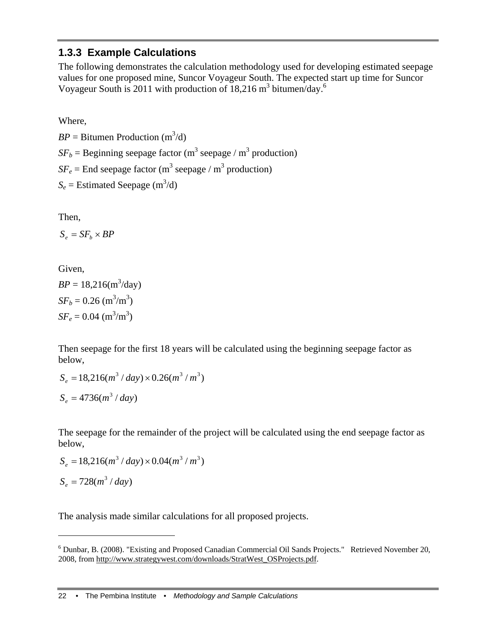### **1.3.3 Example Calculations**

The following demonstrates the calculation methodology used for developing estimated seepage values for one proposed mine, Suncor Voyageur South. The expected start up time for Suncor Voyageur South is 2011 with production of  $18,216 \text{ m}^3$  bitumen/day.<sup>6</sup>

Where,

 $BP = \text{Bitumen Production (m}^3/d)$  $SF_b$  = Beginning seepage factor (m<sup>3</sup> seepage / m<sup>3</sup> production)  $SF_e =$  End seepage factor (m<sup>3</sup> seepage / m<sup>3</sup> production)  $S_e$  = Estimated Seepage (m<sup>3</sup>/d)

Then,

 $S_e = SF_b \times BP$ 

Given,

 $BP = 18,216(m^3/day)$  $SF_b = 0.26$  (m<sup>3</sup>/m<sup>3</sup>)  $SF_e = 0.04$  (m<sup>3</sup>/m<sup>3</sup>)

Then seepage for the first 18 years will be calculated using the beginning seepage factor as below,

$$
S_e = 18,216(m^3 / day) \times 0.26(m^3 / m^3)
$$
  

$$
S_e = 4736(m^3 / day)
$$

The seepage for the remainder of the project will be calculated using the end seepage factor as below,

$$
S_e = 18,216(m^3 / day) \times 0.04(m^3 / m^3)
$$

$$
S_e = 728(m^3 / day)
$$

1

The analysis made similar calculations for all proposed projects.

<sup>&</sup>lt;sup>6</sup> Dunbar, B. (2008). "Existing and Proposed Canadian Commercial Oil Sands Projects." Retrieved November 20, 2008, from http://www.strategywest.com/downloads/StratWest\_OSProjects.pdf.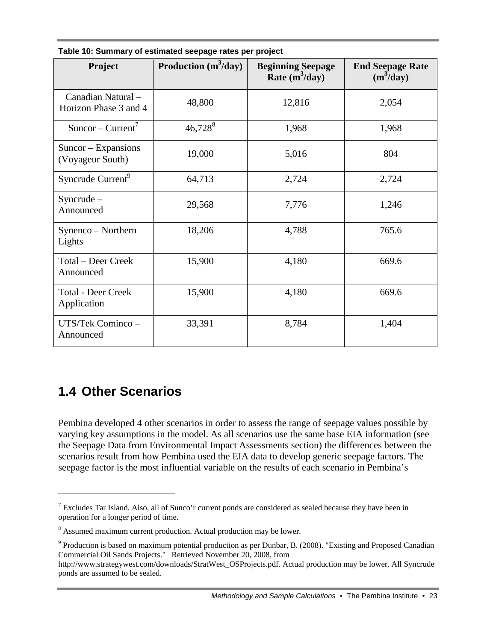| Project                                     | Production $(m^3/day)$ | <b>Beginning Seepage</b><br>Rate $(m^3/day)$ | <b>End Seepage Rate</b><br>$(m^3/day)$ |
|---------------------------------------------|------------------------|----------------------------------------------|----------------------------------------|
| Canadian Natural -<br>Horizon Phase 3 and 4 | 48,800                 | 12,816                                       | 2,054                                  |
| $Suncor-Current7$                           | $46,728^8$             | 1,968                                        | 1,968                                  |
| $Suncor - Expansions$<br>(Voyageur South)   | 19,000                 | 5,016                                        | 804                                    |
| Syncrude Current <sup>9</sup>               | 64,713                 | 2,724                                        | 2,724                                  |
| $Syncrude -$<br>Announced                   | 29,568                 | 7,776                                        | 1,246                                  |
| Synenco – Northern<br>Lights                | 18,206                 | 4,788                                        | 765.6                                  |
| Total - Deer Creek<br>Announced             | 15,900                 | 4,180                                        | 669.6                                  |
| <b>Total - Deer Creek</b><br>Application    | 15,900                 | 4,180                                        | 669.6                                  |
| UTS/Tek Cominco-<br>Announced               | 33,391                 | 8,784                                        | 1,404                                  |

**Table 10: Summary of estimated seepage rates per project** 

## **1.4 Other Scenarios**

 $\overline{a}$ 

Pembina developed 4 other scenarios in order to assess the range of seepage values possible by varying key assumptions in the model. As all scenarios use the same base EIA information (see the Seepage Data from Environmental Impact Assessments section) the differences between the scenarios result from how Pembina used the EIA data to develop generic seepage factors. The seepage factor is the most influential variable on the results of each scenario in Pembina's

<sup>&</sup>lt;sup>7</sup> Excludes Tar Island. Also, all of Sunco'r current ponds are considered as sealed because they have been in operation for a longer period of time.

<sup>&</sup>lt;sup>8</sup> Assumed maximum current production. Actual production may be lower.

 $9$  Production is based on maximum potential production as per Dunbar, B. (2008). "Existing and Proposed Canadian Commercial Oil Sands Projects." Retrieved November 20, 2008, from

http://www.strategywest.com/downloads/StratWest\_OSProjects.pdf. Actual production may be lower. All Syncrude ponds are assumed to be sealed.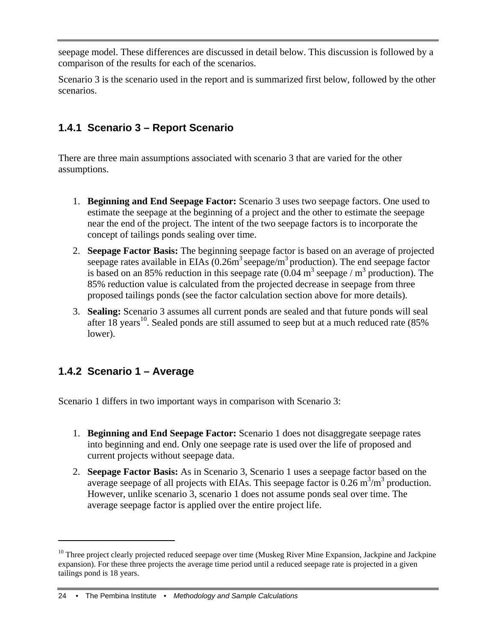seepage model. These differences are discussed in detail below. This discussion is followed by a comparison of the results for each of the scenarios.

Scenario 3 is the scenario used in the report and is summarized first below, followed by the other scenarios.

## **1.4.1 Scenario 3 – Report Scenario**

There are three main assumptions associated with scenario 3 that are varied for the other assumptions.

- 1. **Beginning and End Seepage Factor:** Scenario 3 uses two seepage factors. One used to estimate the seepage at the beginning of a project and the other to estimate the seepage near the end of the project. The intent of the two seepage factors is to incorporate the concept of tailings ponds sealing over time.
- 2. **Seepage Factor Basis:** The beginning seepage factor is based on an average of projected seepage rates available in EIAs  $(0.26m^3 \text{ sepage/m}^3 \text{ production})$ . The end seepage factor is based on an 85% reduction in this seepage rate  $(0.04 \text{ m}^3 \text{ seepage} / \text{m}^3 \text{ production})$ . The 85% reduction value is calculated from the projected decrease in seepage from three proposed tailings ponds (see the factor calculation section above for more details).
- 3. **Sealing:** Scenario 3 assumes all current ponds are sealed and that future ponds will seal after 18 years<sup>10</sup>. Sealed ponds are still assumed to seep but at a much reduced rate  $(85\%$ lower).

## **1.4.2 Scenario 1 – Average**

1

Scenario 1 differs in two important ways in comparison with Scenario 3:

- 1. **Beginning and End Seepage Factor:** Scenario 1 does not disaggregate seepage rates into beginning and end. Only one seepage rate is used over the life of proposed and current projects without seepage data.
- 2. **Seepage Factor Basis:** As in Scenario 3, Scenario 1 uses a seepage factor based on the average seepage of all projects with EIAs. This seepage factor is  $0.26 \text{ m}^3/\text{m}^3$  production. However, unlike scenario 3, scenario 1 does not assume ponds seal over time. The average seepage factor is applied over the entire project life.

<sup>&</sup>lt;sup>10</sup> Three project clearly projected reduced seepage over time (Muskeg River Mine Expansion, Jackpine and Jackpine expansion). For these three projects the average time period until a reduced seepage rate is projected in a given tailings pond is 18 years.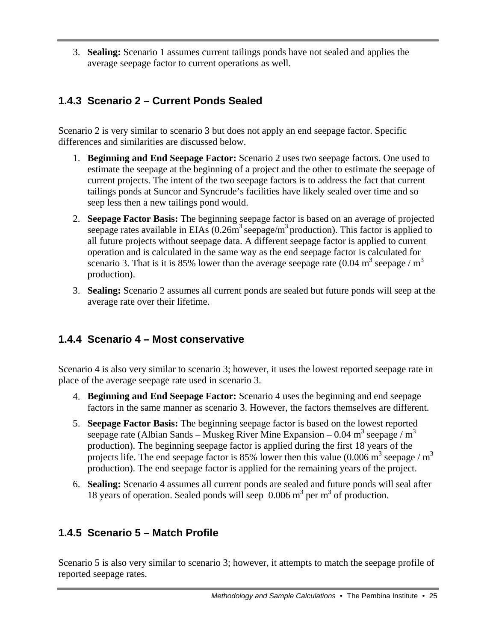3. **Sealing:** Scenario 1 assumes current tailings ponds have not sealed and applies the average seepage factor to current operations as well.

## **1.4.3 Scenario 2 – Current Ponds Sealed**

Scenario 2 is very similar to scenario 3 but does not apply an end seepage factor. Specific differences and similarities are discussed below.

- 1. **Beginning and End Seepage Factor:** Scenario 2 uses two seepage factors. One used to estimate the seepage at the beginning of a project and the other to estimate the seepage of current projects. The intent of the two seepage factors is to address the fact that current tailings ponds at Suncor and Syncrude's facilities have likely sealed over time and so seep less then a new tailings pond would.
- 2. **Seepage Factor Basis:** The beginning seepage factor is based on an average of projected seepage rates available in EIAs  $(0.26m<sup>3</sup>$  seepage/m<sup>3</sup> production). This factor is applied to all future projects without seepage data. A different seepage factor is applied to current operation and is calculated in the same way as the end seepage factor is calculated for scenario 3. That is it is 85% lower than the average seepage rate  $(0.04 \text{ m}^3 \text{ seepage} / \text{m}^3)$ production).
- 3. **Sealing:** Scenario 2 assumes all current ponds are sealed but future ponds will seep at the average rate over their lifetime.

## **1.4.4 Scenario 4 – Most conservative**

Scenario 4 is also very similar to scenario 3; however, it uses the lowest reported seepage rate in place of the average seepage rate used in scenario 3.

- 4. **Beginning and End Seepage Factor:** Scenario 4 uses the beginning and end seepage factors in the same manner as scenario 3. However, the factors themselves are different.
- 5. **Seepage Factor Basis:** The beginning seepage factor is based on the lowest reported seepage rate (Albian Sands – Muskeg River Mine Expansion – 0.04 m<sup>3</sup> seepage / m<sup>3</sup> production). The beginning seepage factor is applied during the first 18 years of the projects life. The end seepage factor is 85% lower then this value  $(0.006 \text{ m}^3 \text{ seepage} / \text{m}^3)$ production). The end seepage factor is applied for the remaining years of the project.
- 6. **Sealing:** Scenario 4 assumes all current ponds are sealed and future ponds will seal after 18 years of operation. Sealed ponds will seep  $0.006 \text{ m}^3$  per  $\text{m}^3$  of production.

## **1.4.5 Scenario 5 – Match Profile**

Scenario 5 is also very similar to scenario 3; however, it attempts to match the seepage profile of reported seepage rates.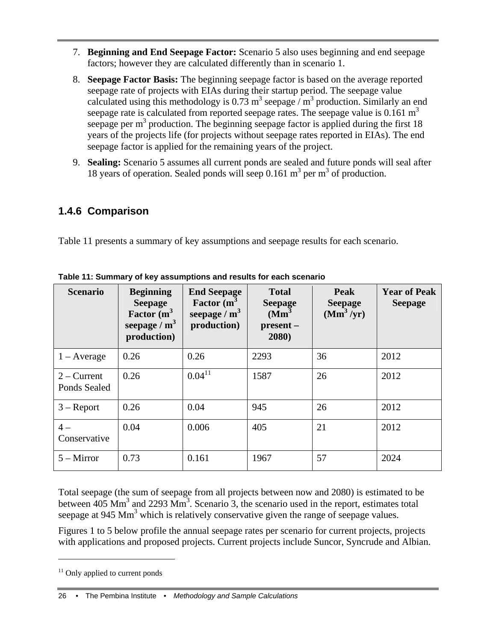- 7. **Beginning and End Seepage Factor:** Scenario 5 also uses beginning and end seepage factors; however they are calculated differently than in scenario 1.
- 8. **Seepage Factor Basis:** The beginning seepage factor is based on the average reported seepage rate of projects with EIAs during their startup period. The seepage value calculated using this methodology is 0.73 m<sup>3</sup> seepage / m<sup>3</sup> production. Similarly an end seepage rate is calculated from reported seepage rates. The seepage value is 0.161  $m<sup>3</sup>$ seepage per  $m<sup>3</sup>$  production. The beginning seepage factor is applied during the first 18 years of the projects life (for projects without seepage rates reported in EIAs). The end seepage factor is applied for the remaining years of the project.
- 9. **Sealing:** Scenario 5 assumes all current ponds are sealed and future ponds will seal after 18 years of operation. Sealed ponds will seep  $0.161 \text{ m}^3$  per  $\text{m}^3$  of production.

### **1.4.6 Comparison**

Table 11 presents a summary of key assumptions and seepage results for each scenario.

| <b>Scenario</b>                      | <b>Beginning</b><br><b>Seepage</b><br>Factor $(m^3)$<br>seepage / $m3$<br>production) | <b>End Seepage</b><br>Factor (m <sup>3</sup><br>seepage / $m3$<br>production) | <b>Total</b><br><b>Seepage</b><br>(Mm <sup>3</sup> )<br>present -<br>2080) | <b>Peak</b><br><b>Seepage</b><br>$(Mm^3/yr)$ | <b>Year of Peak</b><br><b>Seepage</b> |
|--------------------------------------|---------------------------------------------------------------------------------------|-------------------------------------------------------------------------------|----------------------------------------------------------------------------|----------------------------------------------|---------------------------------------|
| $1 - Average$                        | 0.26                                                                                  | 0.26                                                                          | 2293                                                                       | 36                                           | 2012                                  |
| $2$ – Current<br><b>Ponds Sealed</b> | 0.26                                                                                  | $0.04^{11}$                                                                   | 1587                                                                       | 26                                           | 2012                                  |
| $3 -$ Report                         | 0.26                                                                                  | 0.04                                                                          | 945                                                                        | 26                                           | 2012                                  |
| $4-$<br>Conservative                 | 0.04                                                                                  | 0.006                                                                         | 405                                                                        | 21                                           | 2012                                  |
| $5 -$ Mirror                         | 0.73                                                                                  | 0.161                                                                         | 1967                                                                       | 57                                           | 2024                                  |

**Table 11: Summary of key assumptions and results for each scenario** 

Total seepage (the sum of seepage from all projects between now and 2080) is estimated to be between  $405 \text{ Mm}^3$  and  $2293 \text{ Mm}^3$ . Scenario 3, the scenario used in the report, estimates total seepage at  $945 \text{ Mm}^3$  which is relatively conservative given the range of seepage values.

Figures 1 to 5 below profile the annual seepage rates per scenario for current projects, projects with applications and proposed projects. Current projects include Suncor, Syncrude and Albian.

 $\overline{a}$ 

 $11$  Only applied to current ponds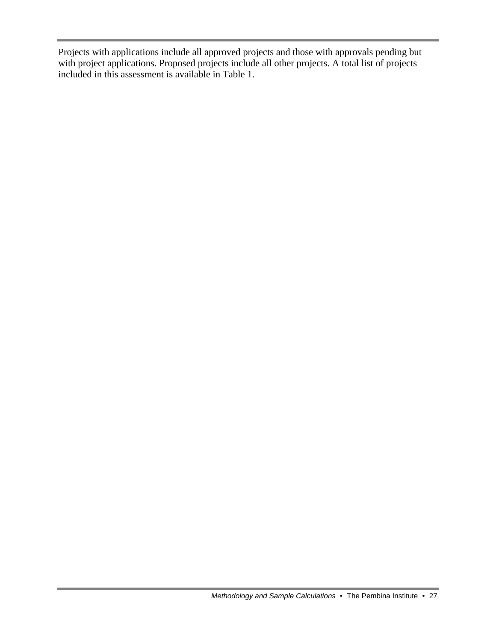Projects with applications include all approved projects and those with approvals pending but with project applications. Proposed projects include all other projects. A total list of projects included in this assessment is available in Table 1.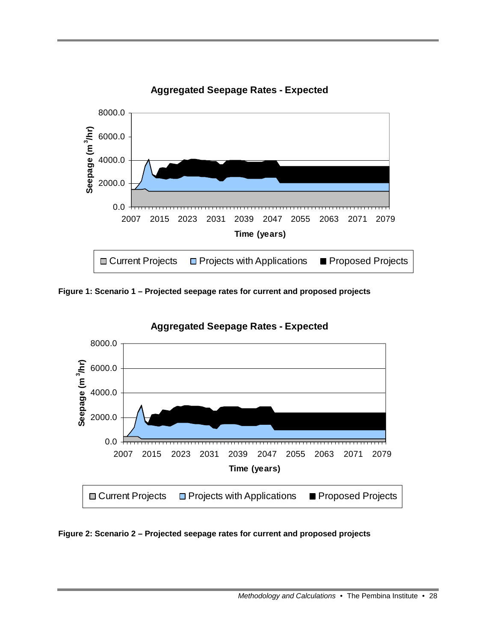

**Aggregated Seepage Rates - Expected**

**Figure 1: Scenario 1 – Projected seepage rates for current and proposed projects** 



**Aggregated Seepage Rates - Expected**

**Figure 2: Scenario 2 – Projected seepage rates for current and proposed projects**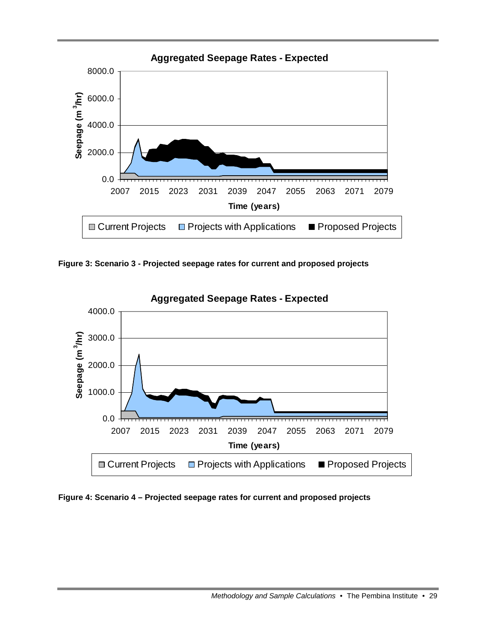

**Figure 3: Scenario 3 - Projected seepage rates for current and proposed projects** 



**Aggregated Seepage Rates - Expected**

**Figure 4: Scenario 4 – Projected seepage rates for current and proposed projects**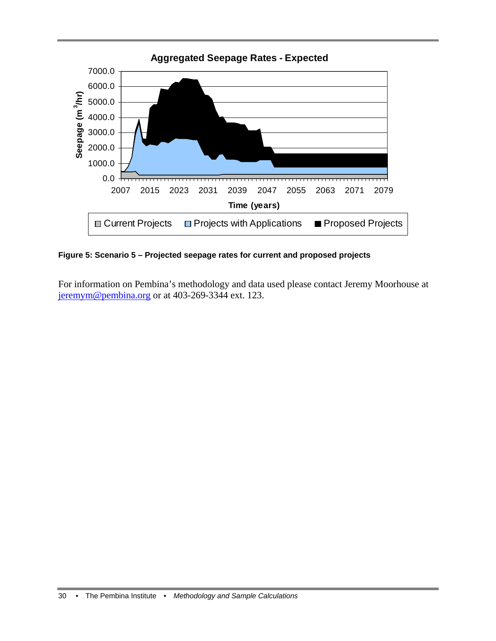

**Figure 5: Scenario 5 – Projected seepage rates for current and proposed projects** 

For information on Pembina's methodology and data used please contact Jeremy Moorhouse at jeremym@pembina.org or at 403-269-3344 ext. 123.